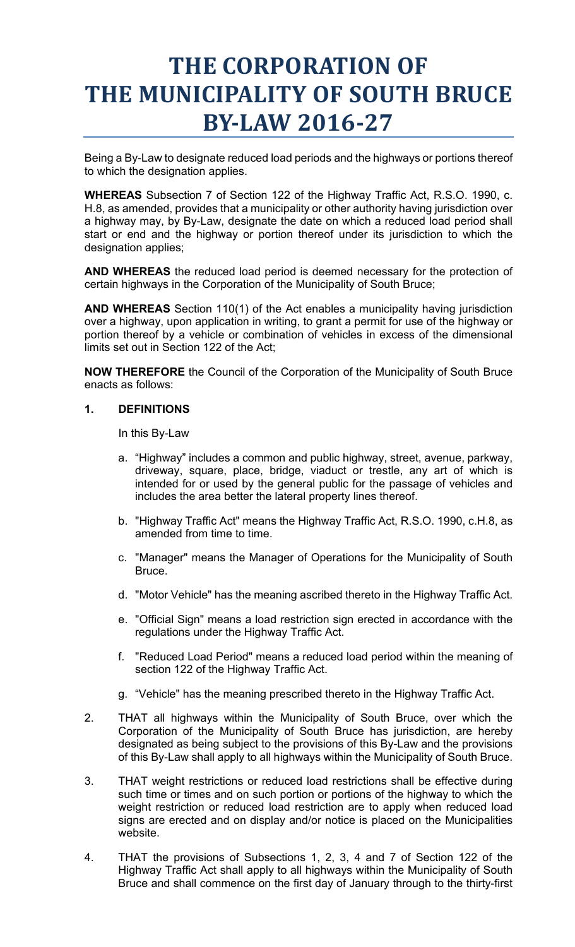## **BY-LAW 2016-27 THE CORPORATION OF THE MUNICIPALITY OF SOUTH BRUCE**

 Being a By-Law to designate reduced load periods and the highways or portions thereof to which the designation applies.

 **WHEREAS** Subsection 7 of Section 122 of the Highway Traffic Act, R.S.O. 1990, c. a highway may, by By-Law, designate the date on which a reduced load period shall H.8, as amended, provides that a municipality or other authority having jurisdiction over start or end and the highway or portion thereof under its jurisdiction to which the designation applies;

**AND WHEREAS** the reduced load period is deemed necessary for the protection of certain highways in the Corporation of the Municipality of South Bruce;

**AND WHEREAS** Section 110(1) of the Act enables a municipality having jurisdiction over a highway, upon application in writing, to grant a permit for use of the highway or portion thereof by a vehicle or combination of vehicles in excess of the dimensional limits set out in Section 122 of the Act;

**NOW THEREFORE** the Council of the Corporation of the Municipality of South Bruce enacts as follows:

## **1. DEFINITIONS**

In this By-Law

- a. "Highway" includes a common and public highway, street, avenue, parkway, driveway, square, place, bridge, viaduct or trestle, any art of which is intended for or used by the general public for the passage of vehicles and includes the area better the lateral property lines thereof.
- b. "Highway Traffic Act" means the Highway Traffic Act, R.S.O. 1990, c.H.8, as amended from time to time.
- c. "Manager" means the Manager of Operations for the Municipality of South Bruce.
- d. "Motor Vehicle" has the meaning ascribed thereto in the Highway Traffic Act.
- e. "Official Sign" means a load restriction sign erected in accordance with the regulations under the Highway Traffic Act.
- f. "Reduced Load Period" means a reduced load period within the meaning of section 122 of the Highway Traffic Act.
- g. "Vehicle" has the meaning prescribed thereto in the Highway Traffic Act.
- Corporation of the Municipality of South Bruce has jurisdiction, are hereby 2. THAT all highways within the Municipality of South Bruce, over which the designated as being subject to the provisions of this By-Law and the provisions of this By-Law shall apply to all highways within the Municipality of South Bruce.
- 3. THAT weight restrictions or reduced load restrictions shall be effective during such time or times and on such portion or portions of the highway to which the weight restriction or reduced load restriction are to apply when reduced load signs are erected and on display and/or notice is placed on the Municipalities website.
- 4. THAT the provisions of Subsections 1, 2, 3, 4 and 7 of Section 122 of the Highway Traffic Act shall apply to all highways within the Municipality of South Bruce and shall commence on the first day of January through to the thirty-first